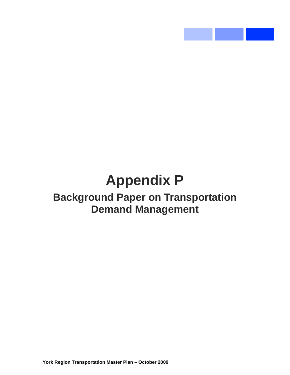# **Appendix P Background Paper on Transportation Demand Management**

**Contract Contract**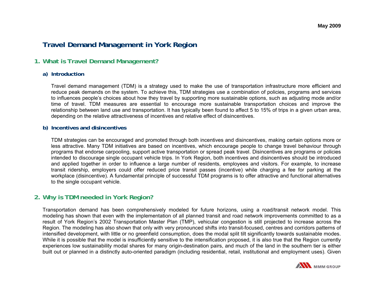# **Travel Demand Management in York Region**

# **1. What is Travel Demand Management?**

## **a) Introduction**

Travel demand management (TDM) is a strategy used to make the use of transportation infrastructure more efficient and reduce peak demands on the system. To achieve this, TDM strategies use a combination of policies, programs and services to influences people's choices about how they travel by supporting more sustainable options, such as adjusting mode and/or time of travel. TDM measures are essential to encourage more sustainable transportation choices and improve the relationship between land use and transportation. It has typically been found to affect 5 to 15% of trips in a given urban area, depending on the relative attractiveness of incentives and relative effect of disincentives.

## **b) Incentives and disincentives**

TDM strategies can be encouraged and promoted through both incentives and disincentives, making certain options more or less attractive. Many TDM initiatives are based on incentives, which encourage people to change travel behaviour through programs that endorse carpooling, support active transportation or spread peak travel. Disincentives are programs or policies intended to discourage single occupant vehicle trips. In York Region, both incentives and disincentives should be introduced and applied together in order to influence a large number of residents, employees and visitors. For example, to increase transit ridership, employers could offer reduced price transit passes (incentive) while charging a fee for parking at the workplace (disincentive). A fundamental principle of successful TDM programs is to offer attractive and functional alternatives to the single occupant vehicle.

# **2. Why is TDM needed in York Region?**

Transportation demand has been comprehensively modeled for future horizons, using a road/transit network model. This modeling has shown that even with the implementation of all planned transit and road network improvements committed to as a result of York Region's 2002 Transportation Master Plan (TMP), vehicular congestion is still projected to increase across the Region. The modeling has also shown that only with very pronounced shifts into transit-focused, centres and corridors patterns of intensified development, with little or no greenfield consumption, does the modal split tilt significantly towards sustainable modes. While it is possible that the model is insufficiently sensitive to the intensification proposed, it is also true that the Region currently experiences low sustainability modal shares for many origin-destination pairs, and much of the land in the southern tier is either built out or planned in a distinctly auto-oriented paradigm (including residential, retail, institutional and employment uses). Given

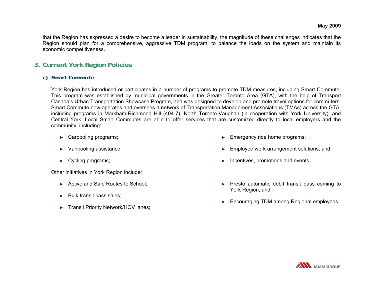that the Region has expressed a desire to become a leader in sustainability, the magnitude of these challenges indicates that the Region should plan for a comprehensive, aggressive TDM program, to balance the loads on the system and maintain its economic competitiveness.

# **3. Current York Region Policies**

# **c) Smart Commute**

York Region has introduced or participates in a number of programs to promote TDM measures, including Smart Commute. This program was established by municipal governments in the Greater Toronto Area (GTA), with the help of Transport Canada's Urban Transportation Showcase Program, and was designed to develop and promote travel options for commuters. Smart Commute now operates and oversees a network of Transportation Management Associations (TMAs) across the GTA, including programs in Markham-Richmond Hill (404-7), North Toronto-Vaughan (in cooperation with York University), and Central York. Local Smart Commutes are able to offer services that are customized directly to local employers and the community, including:

- ► Carpooling programs;
- ► Vanpooling assistance;
- ► Cycling programs;

Other initiatives in York Region include:

- ► Active and Safe Routes to School;
- ► Bulk transit pass sales;
- ► Transit Priority Network/HOV lanes;
- ► Emergency ride home programs;
- ► Employee work arrangement solutions; and
- ►Incentives, promotions and events.
- ► Presto automatic debit transit pass coming to York Region; and
- ► Encouraging TDM among Regional employees.

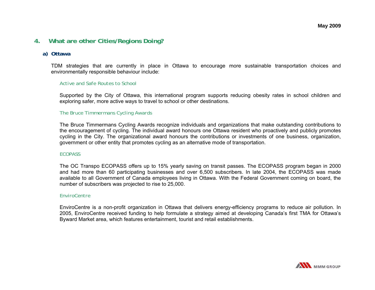# **4. What are other Cities/Regions Doing?**

## **a) Ottawa**

TDM strategies that are currently in place in Ottawa to encourage more sustainable transportation choices and environmentally responsible behaviour include:

#### *Active and Safe Routes to School*

Supported by the City of Ottawa, this international program supports reducing obesity rates in school children and exploring safer, more active ways to travel to school or other destinations.

#### *The Bruce Timmermans Cycling Awards*

The Bruce Timmermans Cycling Awards recognize individuals and organizations that make outstanding contributions to the encouragement of cycling. The individual award honours one Ottawa resident who proactively and publicly promotes cycling in the City. The organizational award honours the contributions or investments of one business, organization, government or other entity that promotes cycling as an alternative mode of transportation.

#### *ECOPASS*

The OC Transpo ECOPASS offers up to 15% yearly saving on transit passes. The ECOPASS program began in 2000 and had more than 60 participating businesses and over 6,500 subscribers. In late 2004, the ECOPASS was made available to all Government of Canada employees living in Ottawa. With the Federal Government coming on board, the number of subscribers was projected to rise to 25,000.

#### *EnviroCentre*

EnviroCentre is a non-profit organization in Ottawa that delivers energy-efficiency programs to reduce air pollution. In 2005, EnviroCentre received funding to help formulate a strategy aimed at developing Canada's first TMA for Ottawa's Byward Market area, which features entertainment, tourist and retail establishments.

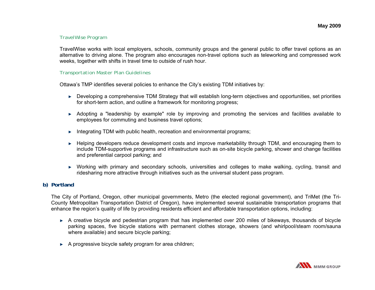### *TravelWise Program*

TravelWise works with local employers, schools, community groups and the general public to offer travel options as an alternative to driving alone. The program also encourages non-travel options such as teleworking and compressed work weeks, together with shifts in travel time to outside of rush hour.

#### *Transportation Master Plan Guidelines*

Ottawa's TMP identifies several policies to enhance the City's existing TDM initiatives by:

- ► Developing a comprehensive TDM Strategy that will establish long-term objectives and opportunities, set priorities for short-term action, and outline a framework for monitoring progress;
- ► Adopting a "leadership by example" role by improving and promoting the services and facilities available to employees for commuting and business travel options;
- ► Integrating TDM with public health, recreation and environmental programs;
- ► Helping developers reduce development costs and improve marketability through TDM, and encouraging them to include TDM-supportive programs and infrastructure such as on-site bicycle parking, shower and change facilities and preferential carpool parking; and
- ► Working with primary and secondary schools, universities and colleges to make walking, cycling, transit and ridesharing more attractive through initiatives such as the universal student pass program.

# **b) Portland**

The City of Portland, Oregon, other municipal governments, Metro (the elected regional government), and TriMet (the Tri-County Metropolitan Transportation District of Oregon), have implemented several sustainable transportation programs that enhance the region's quality of life by providing residents efficient and affordable transportation options, including:

- ► A creative bicycle and pedestrian program that has implemented over 200 miles of bikeways, thousands of bicycle parking spaces, five bicycle stations with permanent clothes storage, showers (and whirlpool/steam room/sauna where available) and secure bicycle parking;
- ► A progressive bicycle safety program for area children;

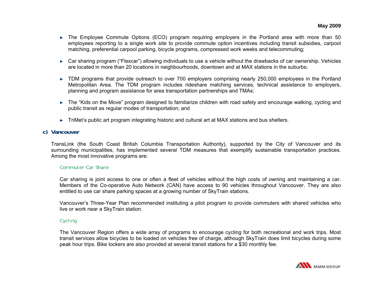- ► The Employee Commute Options (ECO) program requiring employers in the Portland area with more than 50 employees reporting to a single work site to provide commute option incentives including transit subsidies, carpool matching, preferential carpool parking, bicycle programs, compressed work weeks and telecommuting;
- ► Car sharing program ("Flexcar") allowing individuals to use a vehicle without the drawbacks of car ownership. Vehicles are located in more than 20 locations in neighbourhoods, downtown and at MAX stations in the suburbs;
- ► TDM programs that provide outreach to over 700 employers comprising nearly 250,000 employees in the Portland Metropolitan Area. The TDM program includes rideshare matching services, technical assistance to employers, planning and program assistance for area transportation partnerships and TMAs;
- ► The "Kids on the Move" program designed to familiarize children with road safety and encourage walking, cycling and public transit as regular modes of transportation; and
- ► TriMet's public art program integrating historic and cultural art at MAX stations and bus shelters.

# **c) Vancouver**

TransLink (the South Coast British Columbia Transportation Authority), supported by the City of Vancouver and its surrounding municipalities, has implemented several TDM measures that exemplify sustainable transportation practices. Among the most innovative programs are:

## *Commuter Car Share*

Car sharing is joint access to one or often a fleet of vehicles without the high costs of owning and maintaining a car. Members of the Co-operative Auto Network (CAN) have access to 90 vehicles throughout Vancouver. They are also entitled to use car share parking spaces at a growing number of SkyTrain stations.

Vancouver's Three-Year Plan recommended instituting a pilot program to provide commuters with shared vehicles who live or work near a SkyTrain station.

# *Cycling*

The Vancouver Region offers a wide array of programs to encourage cycling for both recreational and work trips. Most transit services allow bicycles to be loaded on vehicles free of charge, although SkyTrain does limit bicycles during some peak hour trips. Bike lockers are also provided at several transit stations for a \$30 monthly fee.

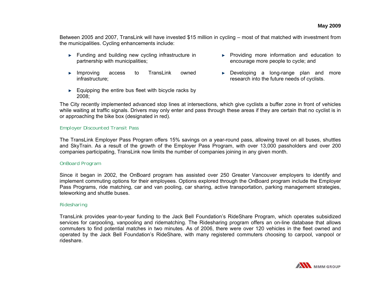Between 2005 and 2007, TransLink will have invested \$15 million in cycling – most of that matched with investment from the municipalities. Cycling enhancements include:

- ► Funding and building new cycling infrastructure in partnership with municipalities;
- ► Improving access to TransLink owned infrastructure;
- $\blacktriangleright$  Equipping the entire bus fleet with bicycle racks by 2008;
- ► Providing more information and education to encourage more people to cycle; and
- ► Developing a long-range plan and more research into the future needs of cyclists.

The City recently implemented advanced stop lines at intersections, which give cyclists a buffer zone in front of vehicles while waiting at traffic signals. Drivers may only enter and pass through these areas if they are certain that no cyclist is in or approaching the bike box (designated in red).

#### *Employer Discounted Transit Pass*

The TransLink Employer Pass Program offers 15% savings on a year-round pass, allowing travel on all buses, shuttles and SkyTrain. As a result of the growth of the Employer Pass Program, with over 13,000 passholders and over 200 companies participating, TransLink now limits the number of companies joining in any given month.

#### *OnBoard Program*

Since it began in 2002, the OnBoard program has assisted over 250 Greater Vancouver employers to identify and implement commuting options for their employees. Options explored through the OnBoard program include the Employer Pass Programs, ride matching, car and van pooling, car sharing, active transportation, parking management strategies, teleworking and shuttle buses.

#### *Ridesharing*

TransLink provides year-to-year funding to the Jack Bell Foundation's RideShare Program, which operates subsidized services for carpooling, vanpooling and ridematching. The Ridesharing program offers an on-line database that allows commuters to find potential matches in two minutes. As of 2006, there were over 120 vehicles in the fleet owned and operated by the Jack Bell Foundation's RideShare, with many registered commuters choosing to carpool, vanpool or rideshare.

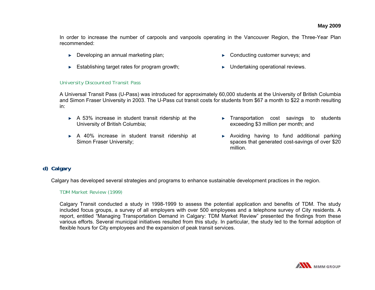In order to increase the number of carpools and vanpools operating in the Vancouver Region, the Three-Year Plan recommended:

- ► Developing an annual marketing plan;
- ► Establishing target rates for program growth;
- ► Conducting customer surveys; and
- ► Undertaking operational reviews.

#### *University Discounted Transit Pass*

A Universal Transit Pass (U-Pass) was introduced for approximately 60,000 students at the University of British Columbia and Simon Fraser University in 2003. The U-Pass cut transit costs for students from \$67 a month to \$22 a month resulting in:

- ► A 53% increase in student transit ridership at the University of British Columbia;
- ► A 40% increase in student transit ridership at Simon Fraser University;
- ► Transportation cost savings to students exceeding \$3 million per month; and
- ► Avoiding having to fund additional parking spaces that generated cost-savings of over \$20 million.

## **d) Calgary**

Calgary has developed several strategies and programs to enhance sustainable development practices in the region.

#### *TDM Market Review (1999)*

Calgary Transit conducted a study in 1998-1999 to assess the potential application and benefits of TDM. The study included focus groups, a survey of all employers with over 500 employees and a telephone survey of City residents. A report, entitled "Managing Transportation Demand in Calgary: TDM Market Review" presented the findings from these various efforts. Several municipal initiatives resulted from this study. In particular, the study led to the formal adoption of flexible hours for City employees and the expansion of peak transit services.

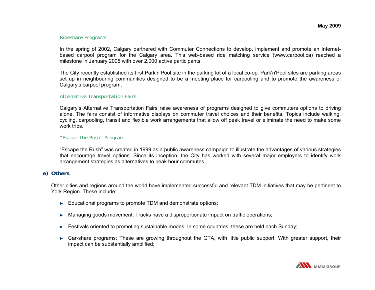#### *Rideshare Programs*

In the spring of 2002, Calgary partnered with Commuter Connections to develop, implement and promote an Internetbased carpool program for the Calgary area. This web-based ride matching service (www.carpool.ca) reached a milestone in January 2005 with over 2,000 active participants.

The City recently established its first Park'n'Pool site in the parking lot of a local co-op. Park'n'Pool sites are parking areas set up in neighbouring communities designed to be a meeting place for carpooling and to promote the awareness of Calgary's carpool program.

#### *Alternative Transportation Fairs*

Calgary's Alternative Transportation Fairs raise awareness of programs designed to give commuters options to driving alone. The fairs consist of informative displays on commuter travel choices and their benefits. Topics include walking, cycling, carpooling, transit and flexible work arrangements that allow off peak travel or eliminate the need to make some work trips.

#### *"Escape the Rush" Program*

"Escape the Rush" was created in 1999 as a public awareness campaign to illustrate the advantages of various strategies that encourage travel options. Since its inception, the City has worked with several major employers to identify work arrangement strategies as alternatives to peak hour commutes.

## **e) Others**

Other cities and regions around the world have implemented successful and relevant TDM initiatives that may be pertinent to York Region. These include:

- ► Educational programs to promote TDM and demonstrate options;
- ►Managing goods movement: Trucks have a disproportionate impact on traffic operations;
- ► Festivals oriented to promoting sustainable modes: In some countries, these are held each Sunday;
- ► Car-share programs: These are growing throughout the GTA, with little public support. With greater support, their impact can be substantially amplified;

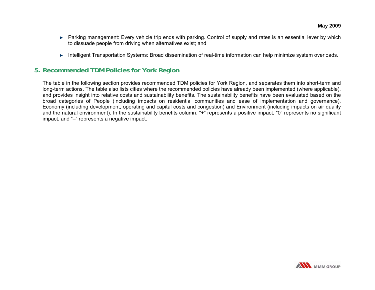- ► Parking management: Every vehicle trip ends with parking. Control of supply and rates is an essential lever by which to dissuade people from driving when alternatives exist; and
- ► Intelligent Transportation Systems: Broad dissemination of real-time information can help minimize system overloads.

# **5. Recommended TDM Policies for York Region**

The table in the following section provides recommended TDM policies for York Region, and separates them into short-term and long-term actions. The table also lists cities where the recommended policies have already been implemented (where applicable), and provides insight into relative costs and sustainability benefits. The sustainability benefits have been evaluated based on the broad categories of People (including impacts on residential communities and ease of implementation and governance), Economy (including development, operating and capital costs and congestion) and Environment (including impacts on air quality and the natural environment). In the sustainability benefits column, "+" represents a positive impact, "0" represents no significant impact, and "–" represents a negative impact.

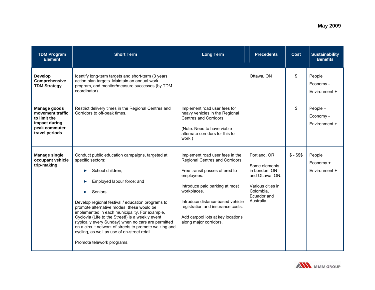| <b>TDM Program</b><br><b>Element</b>                                                                        | <b>Short Term</b>                                                                                                                                                                                                                                                                                                                                                                                                                                                                                                                         | <b>Long Term</b>                                                                                                                                                                                                                                                                                            | <b>Precedents</b>                                                                                                                | <b>Cost</b>  | <b>Sustainability</b><br><b>Benefits</b> |
|-------------------------------------------------------------------------------------------------------------|-------------------------------------------------------------------------------------------------------------------------------------------------------------------------------------------------------------------------------------------------------------------------------------------------------------------------------------------------------------------------------------------------------------------------------------------------------------------------------------------------------------------------------------------|-------------------------------------------------------------------------------------------------------------------------------------------------------------------------------------------------------------------------------------------------------------------------------------------------------------|----------------------------------------------------------------------------------------------------------------------------------|--------------|------------------------------------------|
| <b>Develop</b><br>Comprehensive<br><b>TDM Strategy</b>                                                      | Identify long-term targets and short-term (3 year)<br>action plan targets. Maintain an annual work<br>program, and monitor/measure successes (by TDM<br>coordinator).                                                                                                                                                                                                                                                                                                                                                                     |                                                                                                                                                                                                                                                                                                             | Ottawa, ON                                                                                                                       | \$           | People +<br>Economy -<br>Environment +   |
| <b>Manage goods</b><br>movement traffic<br>to limit the<br>impact during<br>peak commuter<br>travel periods | Restrict delivery times in the Regional Centres and<br>Corridors to off-peak times.                                                                                                                                                                                                                                                                                                                                                                                                                                                       | Implement road user fees for<br>heavy vehicles in the Regional<br>Centres and Corridors.<br>(Note: Need to have viable<br>alternate corridors for this to<br>work.)                                                                                                                                         |                                                                                                                                  | \$           | People +<br>Economy -<br>Environment +   |
| <b>Manage single</b><br>occupant vehicle<br>trip-making                                                     | Conduct public education campaigns, targeted at<br>specific sectors:<br>School children;<br>Employed labour force; and<br>Seniors.<br>Develop regional festival / education programs to<br>promote alternative modes; these would be<br>implemented in each municipality. For example,<br>Cyclovia (Life to the Street!) is a weekly event<br>(typically every Sunday) when no cars are permitted<br>on a circuit network of streets to promote walking and<br>cycling, as well as use of on-street retail.<br>Promote telework programs. | Implement road user fees in the<br>Regional Centres and Corridors.<br>Free transit passes offered to<br>employees.<br>Introduce paid parking at most<br>workplaces.<br>Introduce distance-based vehicle<br>registration and insurance costs.<br>Add carpool lots at key locations<br>along major corridors. | Portland, OR<br>Some elements<br>in London, ON<br>and Ottawa, ON.<br>Various cities in<br>Colombia.<br>Ecuador and<br>Australia. | $$ - $$ \$\$ | People +<br>Economy +<br>Environment +   |

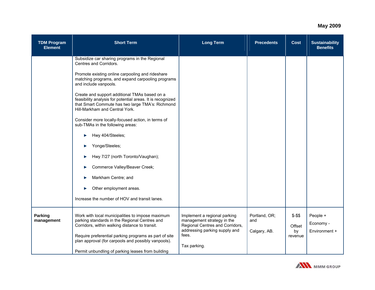| <b>TDM Program</b><br><b>Element</b> | <b>Short Term</b>                                                                                                                                                                                                                                                   | <b>Long Term</b>                                                                                                                                        | <b>Precedents</b>                    | <b>Cost</b>                        | <b>Sustainability</b><br><b>Benefits</b> |
|--------------------------------------|---------------------------------------------------------------------------------------------------------------------------------------------------------------------------------------------------------------------------------------------------------------------|---------------------------------------------------------------------------------------------------------------------------------------------------------|--------------------------------------|------------------------------------|------------------------------------------|
|                                      | Subsidize car sharing programs in the Regional<br>Centres and Corridors.                                                                                                                                                                                            |                                                                                                                                                         |                                      |                                    |                                          |
|                                      | Promote existing online carpooling and rideshare<br>matching programs, and expand carpooling programs<br>and include vanpools.                                                                                                                                      |                                                                                                                                                         |                                      |                                    |                                          |
|                                      | Create and support additional TMAs based on a<br>feasibility analysis for potential areas. It is recognized<br>that Smart Commute has two large TMA's: Richmond<br>Hill-Markham and Central York.                                                                   |                                                                                                                                                         |                                      |                                    |                                          |
|                                      | Consider more locally-focused action, in terms of<br>sub-TMAs in the following areas:                                                                                                                                                                               |                                                                                                                                                         |                                      |                                    |                                          |
|                                      | Hwy 404/Steeles;<br>▶                                                                                                                                                                                                                                               |                                                                                                                                                         |                                      |                                    |                                          |
|                                      | Yonge/Steeles;                                                                                                                                                                                                                                                      |                                                                                                                                                         |                                      |                                    |                                          |
|                                      | Hwy 7/27 (north Toronto/Vaughan);                                                                                                                                                                                                                                   |                                                                                                                                                         |                                      |                                    |                                          |
|                                      | Commerce Valley/Beaver Creek;                                                                                                                                                                                                                                       |                                                                                                                                                         |                                      |                                    |                                          |
|                                      | Markham Centre; and                                                                                                                                                                                                                                                 |                                                                                                                                                         |                                      |                                    |                                          |
|                                      | Other employment areas.                                                                                                                                                                                                                                             |                                                                                                                                                         |                                      |                                    |                                          |
|                                      | Increase the number of HOV and transit lanes.                                                                                                                                                                                                                       |                                                                                                                                                         |                                      |                                    |                                          |
| Parking<br>management                | Work with local municipalities to impose maximum<br>parking standards in the Regional Centres and<br>Corridors, within walking distance to transit.<br>Require preferential parking programs as part of site<br>plan approval (for carpools and possibly vanpools). | Implement a regional parking<br>management strategy in the<br>Regional Centres and Corridors,<br>addressing parking supply and<br>fees.<br>Tax parking. | Portland, OR;<br>and<br>Calgary, AB. | $$ - $$<br>Offset<br>by<br>revenue | People +<br>Economy -<br>Environment +   |
|                                      | Permit unbundling of parking leases from building                                                                                                                                                                                                                   |                                                                                                                                                         |                                      |                                    |                                          |

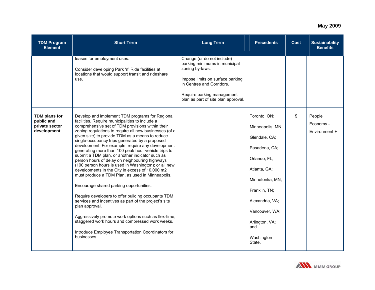| <b>TDM Program</b><br><b>Element</b>                         | <b>Short Term</b>                                                                                                                                                                                                                                                                                                                                                                                                                                                                                                                                                                                                                                                                                                                                                                                                                                                                                                                                                                                                                                                 | <b>Long Term</b>                                                                                                                                                                                                     | <b>Precedents</b>                                                                                                                                                                                                            | <b>Cost</b> | <b>Sustainability</b><br><b>Benefits</b> |
|--------------------------------------------------------------|-------------------------------------------------------------------------------------------------------------------------------------------------------------------------------------------------------------------------------------------------------------------------------------------------------------------------------------------------------------------------------------------------------------------------------------------------------------------------------------------------------------------------------------------------------------------------------------------------------------------------------------------------------------------------------------------------------------------------------------------------------------------------------------------------------------------------------------------------------------------------------------------------------------------------------------------------------------------------------------------------------------------------------------------------------------------|----------------------------------------------------------------------------------------------------------------------------------------------------------------------------------------------------------------------|------------------------------------------------------------------------------------------------------------------------------------------------------------------------------------------------------------------------------|-------------|------------------------------------------|
|                                                              | leases for employment uses.<br>Consider developing Park 'n' Ride facilities at<br>locations that would support transit and rideshare<br>use.                                                                                                                                                                                                                                                                                                                                                                                                                                                                                                                                                                                                                                                                                                                                                                                                                                                                                                                      | Change (or do not include)<br>parking minimums in municipal<br>zoning by-laws.<br>Impose limits on surface parking<br>in Centres and Corridors.<br>Require parking management<br>plan as part of site plan approval. |                                                                                                                                                                                                                              |             |                                          |
| TDM plans for<br>public and<br>private sector<br>development | Develop and implement TDM programs for Regional<br>facilities. Require municipalities to include a<br>comprehensive set of TDM provisions within their<br>zoning regulations to require all new businesses (of a<br>given size) to provide TDM as a means to reduce<br>single-occupancy trips generated by a proposed<br>development. For example, require any development<br>generating more than 100 peak hour vehicle trips to<br>submit a TDM plan, or another indicator such as<br>person hours of delay on neighbouring highways<br>(100 person hours is used in Washington); or all new<br>developments in the City in excess of 10,000 m2<br>must produce a TDM Plan, as used in Minneapolis.<br>Encourage shared parking opportunities.<br>Require developers to offer building occupants TDM<br>services and incentives as part of the project's site<br>plan approval.<br>Aggressively promote work options such as flex-time,<br>staggered work hours and compressed work weeks.<br>Introduce Employee Transportation Coordinators for<br>businesses. |                                                                                                                                                                                                                      | Toronto, ON;<br>Minneapolis, MN;<br>Glendale, CA;<br>Pasadena, CA;<br>Orlando, FL;<br>Atlanta, GA;<br>Minnetonka, MN;<br>Franklin, TN;<br>Alexandria, VA;<br>Vancouver, WA;<br>Arlington, VA;<br>and<br>Washington<br>State. | \$          | People +<br>Economy -<br>Environment +   |

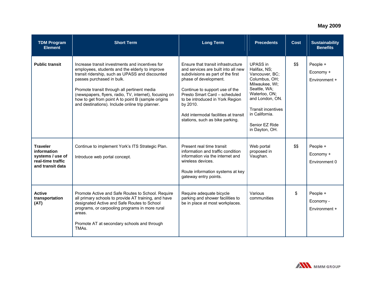| <b>TDM Program</b><br><b>Element</b>                                                        | <b>Short Term</b>                                                                                                                                                                                                                                                                                                                                                                                   | <b>Long Term</b>                                                                                                                                                                                                                                                                                                                     | <b>Precedents</b>                                                                                                                                                                                                           | <b>Cost</b> | <b>Sustainability</b><br><b>Benefits</b> |
|---------------------------------------------------------------------------------------------|-----------------------------------------------------------------------------------------------------------------------------------------------------------------------------------------------------------------------------------------------------------------------------------------------------------------------------------------------------------------------------------------------------|--------------------------------------------------------------------------------------------------------------------------------------------------------------------------------------------------------------------------------------------------------------------------------------------------------------------------------------|-----------------------------------------------------------------------------------------------------------------------------------------------------------------------------------------------------------------------------|-------------|------------------------------------------|
| <b>Public transit</b>                                                                       | Increase transit investments and incentives for<br>employees, students and the elderly to improve<br>transit ridership, such as UPASS and discounted<br>passes purchased in bulk.<br>Promote transit through all pertinent media<br>(newspapers, flyers, radio, TV, internet), focusing on<br>how to get from point A to point B (sample origins<br>and destinations). Include online trip planner. | Ensure that transit infrastructure<br>and services are built into all new<br>subdivisions as part of the first<br>phase of development.<br>Continue to support use of the<br>Presto Smart Card - scheduled<br>to be introduced in York Region<br>by 2010.<br>Add intermodal facilities at transit<br>stations, such as bike parking. | <b>UPASS</b> in<br>Halifax, NS;<br>Vancouver, BC;<br>Columbus, OH;<br>Milwaukee, WI;<br>Seattle, WA;<br>Waterloo, ON;<br>and London, ON.<br><b>Transit incentives</b><br>in California.<br>Senior EZ Ride<br>in Dayton, OH. | \$\$        | People +<br>Economy +<br>Environment +   |
| <b>Traveler</b><br>information<br>systems / use of<br>real-time traffic<br>and transit data | Continue to implement York's ITS Strategic Plan.<br>Introduce web portal concept.                                                                                                                                                                                                                                                                                                                   | Present real time transit<br>information and traffic condition<br>information via the internet and<br>wireless devices.<br>Route information systems at key<br>gateway entry points.                                                                                                                                                 | Web portal<br>proposed in<br>Vaughan.                                                                                                                                                                                       | \$\$        | People +<br>Economy +<br>Environment 0   |
| <b>Active</b><br>transportation<br>(AT)                                                     | Promote Active and Safe Routes to School. Require<br>all primary schools to provide AT training, and have<br>designated Active and Safe Routes to School<br>programs, or carpooling programs in more rural<br>areas.<br>Promote AT at secondary schools and through<br>TMA <sub>s</sub>                                                                                                             | Require adequate bicycle<br>parking and shower facilities to<br>be in place at most workplaces.                                                                                                                                                                                                                                      | Various<br>communities                                                                                                                                                                                                      | \$          | People +<br>Economy -<br>Environment +   |